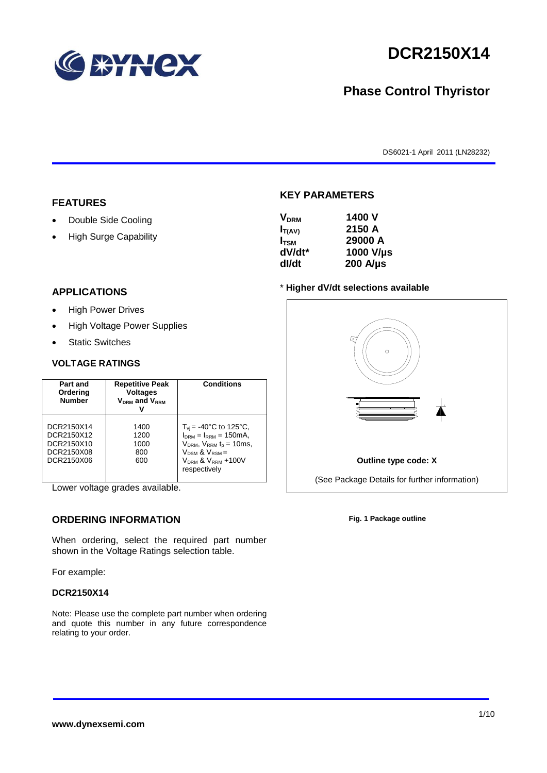

# **DCR2150X14**

# **Phase Control Thyristor**

DS6021-1 April 2011 (LN28232)

### **FEATURES**

- Double Side Cooling
- High Surge Capability

# **APPLICATIONS**

- High Power Drives
- High Voltage Power Supplies
- Static Switches

### **VOLTAGE RATINGS**

| Part and<br>Ordering<br><b>Number</b>                              | <b>Repetitive Peak</b><br><b>Voltages</b><br>$V_{DRM}$ and $V_{RRM}$ | <b>Conditions</b>                                                                                                                                                                                  |
|--------------------------------------------------------------------|----------------------------------------------------------------------|----------------------------------------------------------------------------------------------------------------------------------------------------------------------------------------------------|
| DCR2150X14<br>DCR2150X12<br>DCR2150X10<br>DCR2150X08<br>DCR2150X06 | 1400<br>1200<br>1000<br>800<br>600                                   | $T_{vi}$ = -40°C to 125°C,<br>$I_{DRM} = I_{RRM} = 150 \text{mA}$<br>$V_{DRM}$ , $V_{RRM}$ $t_{p}$ = 10ms,<br>$V_{DSM}$ & $V_{RSM}$ =<br>V <sub>DRM</sub> & V <sub>RRM</sub> +100V<br>respectively |

Lower voltage grades available.

# **ORDERING INFORMATION**

When ordering, select the required part number shown in the Voltage Ratings selection table.

For example:

#### **DCR2150X14**

Note: Please use the complete part number when ordering and quote this number in any future correspondence relating to your order.

# **KEY PARAMETERS**

| <b>V</b> <sub>DRM</sub> | 1400 V           |
|-------------------------|------------------|
| $I_{T(AV)}$             | 2150 A           |
| I <sub>TSM</sub>        | 29000 A          |
| dV/dt*                  | 1000 V/µs        |
| dl/dt                   | $200$ A/ $\mu$ s |

#### \* **Higher dV/dt selections available**



**Fig. 1 Package outline**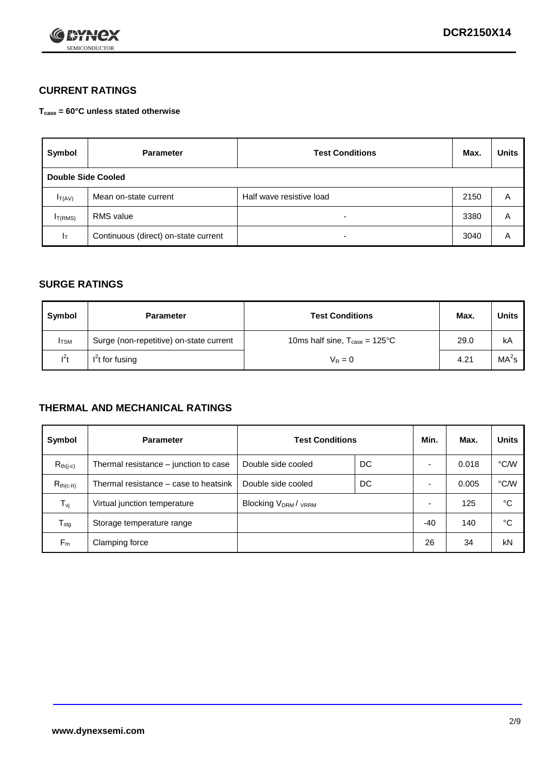

# **CURRENT RATINGS**

**Tcase = 60°C unless stated otherwise**

| Symbol              | <b>Parameter</b>                     | <b>Test Conditions</b>   |      | <b>Units</b> |
|---------------------|--------------------------------------|--------------------------|------|--------------|
| Double Side Cooled  |                                      |                          |      |              |
| $I_{T(AV)}$         | Mean on-state current                | Half wave resistive load | 2150 | A            |
| I <sub>T(RMS)</sub> | RMS value                            | $\overline{\phantom{a}}$ | 3380 | Α            |
| Iт                  | Continuous (direct) on-state current | $\overline{\phantom{a}}$ | 3040 | Α            |

## **SURGE RATINGS**

| Symbol       | <b>Parameter</b>                        | <b>Test Conditions</b>                           | Max. | Units             |
|--------------|-----------------------------------------|--------------------------------------------------|------|-------------------|
| <b>I</b> TSM | Surge (non-repetitive) on-state current | 10ms half sine, $T_{\text{case}} = 125^{\circ}C$ | 29.0 | kA                |
| $l^2t$       | $I2t$ for fusing                        | $V_R = 0$                                        | 4.21 | MA <sup>2</sup> s |

## **THERMAL AND MECHANICAL RATINGS**

| Symbol           | <b>Parameter</b>                      | <b>Test Conditions</b>    |    | Min.  | Max.  | <b>Units</b> |
|------------------|---------------------------------------|---------------------------|----|-------|-------|--------------|
| $R_{th(j-c)}$    | Thermal resistance – junction to case | Double side cooled        | DC |       | 0.018 | °C/W         |
| $R_{th(c-h)}$    | Thermal resistance – case to heatsink | Double side cooled        | DC |       | 0.005 | °C/W         |
| $T_{\nu j}$      | Virtual junction temperature          | <b>Blocking VDRM/VRRM</b> |    |       | 125   | °C           |
| $T_{\text{stg}}$ | Storage temperature range             |                           |    | $-40$ | 140   | °C           |
| $F_m$            | Clamping force                        |                           |    | 26    | 34    | kN           |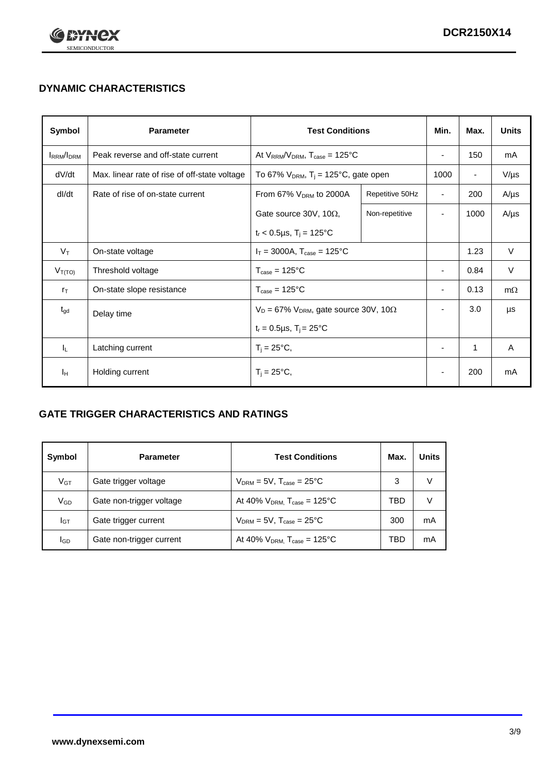

# **DYNAMIC CHARACTERISTICS**

| Symbol            | <b>Parameter</b>                              | <b>Test Conditions</b>                                       |                 | Min.                     | Max.                     | <b>Units</b> |
|-------------------|-----------------------------------------------|--------------------------------------------------------------|-----------------|--------------------------|--------------------------|--------------|
| <b>IRRM</b> /IDRM | Peak reverse and off-state current            | At $V_{RRM}/V_{DRM}$ , $T_{case} = 125^{\circ}C$             |                 | $\overline{\phantom{a}}$ | 150                      | mA           |
| dV/dt             | Max. linear rate of rise of off-state voltage | To 67% $V_{DRM}$ , T <sub>i</sub> = 125°C, gate open         |                 | 1000                     | $\overline{\phantom{a}}$ | $V/\mu s$    |
| dl/dt             | Rate of rise of on-state current              | From 67% V <sub>DRM</sub> to 2000A                           | Repetitive 50Hz | $\overline{\phantom{a}}$ | 200                      | $A/\mu s$    |
|                   |                                               | Gate source 30V, 10 $\Omega$ ,                               | Non-repetitive  | $\overline{\phantom{0}}$ | 1000                     | $A/\mu s$    |
|                   |                                               | $t_r$ < 0.5µs, $T_i$ = 125°C                                 |                 |                          |                          |              |
| $V_T$             | On-state voltage                              | $I_T = 3000A$ , $T_{case} = 125^{\circ}C$                    |                 |                          | 1.23                     | $\vee$       |
| $V_{T(TO)}$       | Threshold voltage                             | $T_{\text{case}} = 125^{\circ}C$                             |                 | $\blacksquare$           | 0.84                     | V            |
| $r_{\text{T}}$    | On-state slope resistance                     | $T_{\text{case}} = 125^{\circ}C$                             |                 | $\overline{\phantom{a}}$ | 0.13                     | $m\Omega$    |
| $t_{gd}$          | Delay time                                    | $V_D = 67\%$ V <sub>DRM</sub> , gate source 30V, 10 $\Omega$ |                 | $\blacksquare$           | 3.0                      | μs           |
|                   |                                               | $t_r = 0.5 \mu s$ , $T_i = 25^{\circ}C$                      |                 |                          |                          |              |
| IL.               | Latching current                              | $T_i = 25^{\circ}C$                                          |                 | ٠                        | 1                        | Α            |
| Iн                | Holding current                               | $T_i = 25^{\circ}C,$                                         |                 |                          | 200                      | mA           |

# **GATE TRIGGER CHARACTERISTICS AND RATINGS**

| Symbol | <b>Parameter</b>         | <b>Test Conditions</b>                       | Max. | <b>Units</b> |
|--------|--------------------------|----------------------------------------------|------|--------------|
| $V$ GT | Gate trigger voltage     | $V_{DRM} = 5V$ , $T_{case} = 25^{\circ}C$    | 3    |              |
| VGD    | Gate non-trigger voltage | At 40% $V_{DRM}$ , $T_{case} = 125^{\circ}C$ | TBD  |              |
| Iст    | Gate trigger current     | $V_{DRM}$ = 5V, $T_{case}$ = 25°C            | 300  | mA           |
| lgp    | Gate non-trigger current | At 40% $V_{DRM}$ , $T_{case} = 125^{\circ}C$ | TBD  | mA           |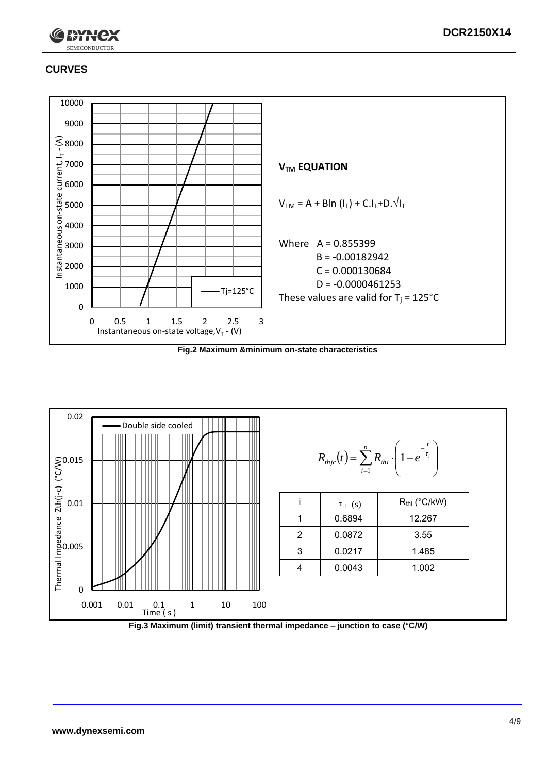

# **CURVES**



**Fig.2 Maximum &minimum on-state characteristics**



**Fig.3 Maximum (limit) transient thermal impedance – junction to case (°C/W)**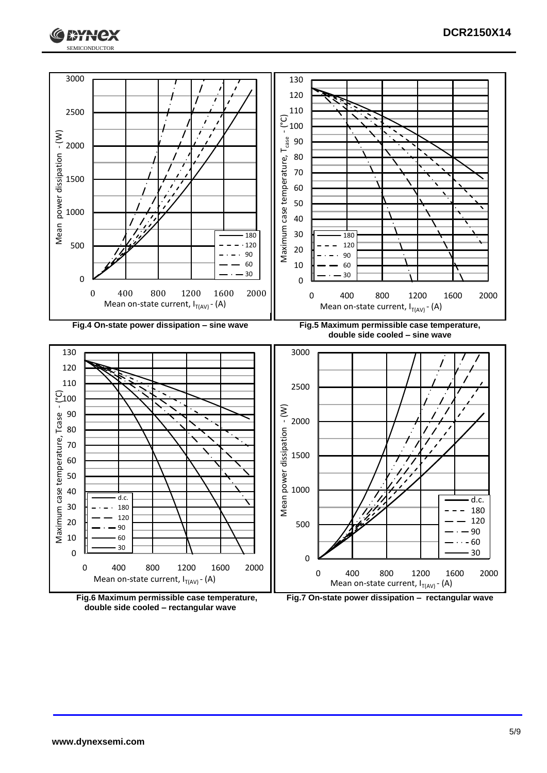





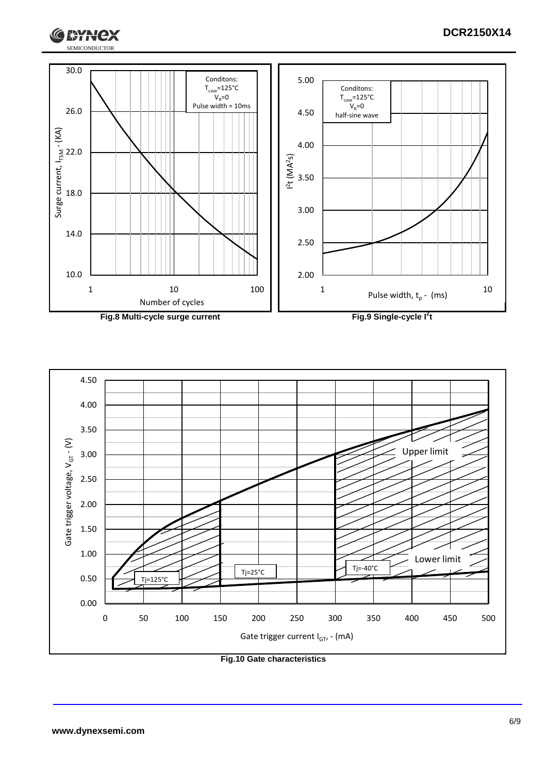

**Fig.8 Multi-cycle surge current Fig.9 Single-cycle I**

**2 t**

**DCR2150X14**



**Fig.10 Gate characteristics**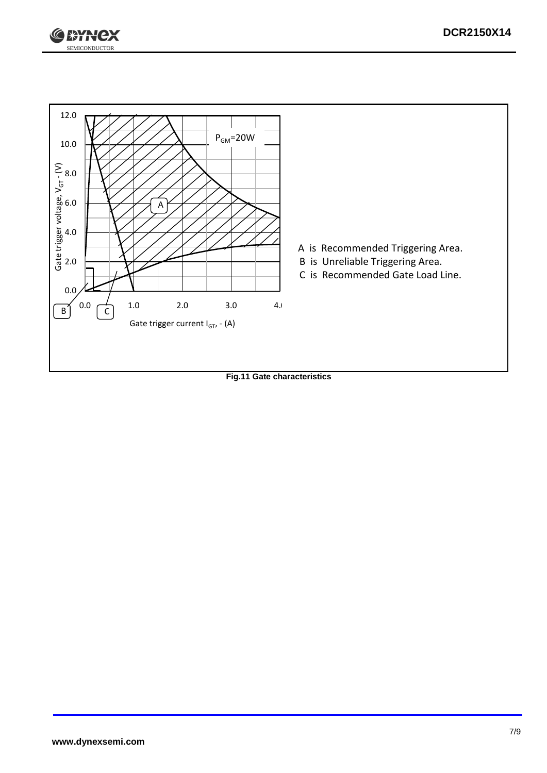



**Fig.11 Gate characteristics**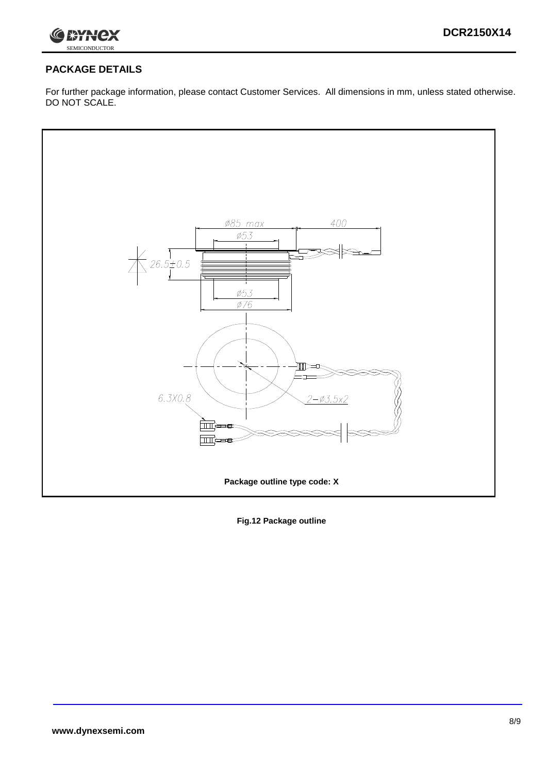

# **PACKAGE DETAILS**

For further package information, please contact Customer Services. All dimensions in mm, unless stated otherwise. DO NOT SCALE.



**Fig.12 Package outline**